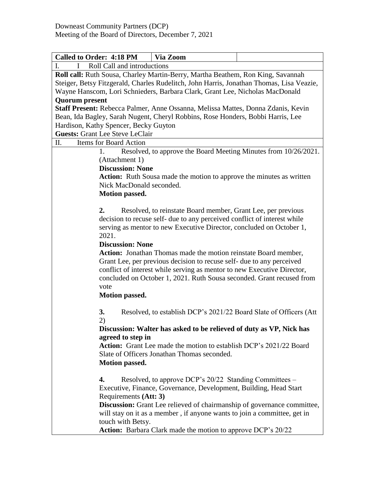| <b>Called to Order: 4:18 PM</b>                                                          | Via Zoom                                                          |  |  |  |
|------------------------------------------------------------------------------------------|-------------------------------------------------------------------|--|--|--|
| Roll Call and introductions<br>L                                                         |                                                                   |  |  |  |
| Roll call: Ruth Sousa, Charley Martin-Berry, Martha Beathem, Ron King, Savannah          |                                                                   |  |  |  |
| Steiger, Betsy Fitzgerald, Charles Rudelitch, John Harris, Jonathan Thomas, Lisa Veazie, |                                                                   |  |  |  |
| Wayne Hanscom, Lori Schnieders, Barbara Clark, Grant Lee, Nicholas MacDonald             |                                                                   |  |  |  |
| <b>Quorum</b> present                                                                    |                                                                   |  |  |  |
| Staff Present: Rebecca Palmer, Anne Ossanna, Melissa Mattes, Donna Zdanis, Kevin         |                                                                   |  |  |  |
| Bean, Ida Bagley, Sarah Nugent, Cheryl Robbins, Rose Honders, Bobbi Harris, Lee          |                                                                   |  |  |  |
| Hardison, Kathy Spencer, Becky Guyton                                                    |                                                                   |  |  |  |
| <b>Guests: Grant Lee Steve LeClair</b>                                                   |                                                                   |  |  |  |
| П.<br><b>Items for Board Action</b>                                                      |                                                                   |  |  |  |
| 1.                                                                                       | Resolved, to approve the Board Meeting Minutes from 10/26/2021.   |  |  |  |
| (Attachment 1)                                                                           |                                                                   |  |  |  |
| <b>Discussion: None</b>                                                                  |                                                                   |  |  |  |
| Action: Ruth Sousa made the motion to approve the minutes as written                     |                                                                   |  |  |  |
| Nick MacDonald seconded.                                                                 |                                                                   |  |  |  |
| <b>Motion passed.</b>                                                                    |                                                                   |  |  |  |
| 2.                                                                                       | Resolved, to reinstate Board member, Grant Lee, per previous      |  |  |  |
| decision to recuse self- due to any perceived conflict of interest while                 |                                                                   |  |  |  |
| serving as mentor to new Executive Director, concluded on October 1,                     |                                                                   |  |  |  |
| 2021.                                                                                    |                                                                   |  |  |  |
| <b>Discussion: None</b>                                                                  |                                                                   |  |  |  |
| Action: Jonathan Thomas made the motion reinstate Board member,                          |                                                                   |  |  |  |
| Grant Lee, per previous decision to recuse self- due to any perceived                    |                                                                   |  |  |  |
| conflict of interest while serving as mentor to new Executive Director,                  |                                                                   |  |  |  |
| concluded on October 1, 2021. Ruth Sousa seconded. Grant recused from                    |                                                                   |  |  |  |
| vote                                                                                     |                                                                   |  |  |  |
| <b>Motion passed.</b>                                                                    |                                                                   |  |  |  |
| 3.                                                                                       | Resolved, to establish DCP's 2021/22 Board Slate of Officers (Att |  |  |  |
| 2)                                                                                       |                                                                   |  |  |  |
| Discussion: Walter has asked to be relieved of duty as VP, Nick has                      |                                                                   |  |  |  |
| agreed to step in                                                                        |                                                                   |  |  |  |
| Action: Grant Lee made the motion to establish DCP's 2021/22 Board                       |                                                                   |  |  |  |
| Slate of Officers Jonathan Thomas seconded.                                              |                                                                   |  |  |  |
| <b>Motion passed.</b>                                                                    |                                                                   |  |  |  |
| 4.                                                                                       | Resolved, to approve DCP's 20/22 Standing Committees –            |  |  |  |
| Executive, Finance, Governance, Development, Building, Head Start                        |                                                                   |  |  |  |
| Requirements (Att: 3)                                                                    |                                                                   |  |  |  |
| Discussion: Grant Lee relieved of chairmanship of governance committee,                  |                                                                   |  |  |  |
| will stay on it as a member, if anyone wants to join a committee, get in                 |                                                                   |  |  |  |
|                                                                                          | touch with Betsy.                                                 |  |  |  |
| Action: Barbara Clark made the motion to approve DCP's 20/22                             |                                                                   |  |  |  |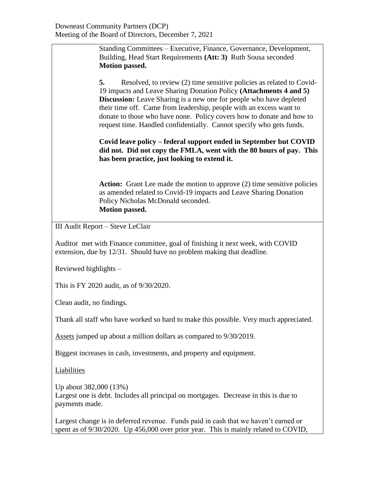Standing Committees – Executive, Finance, Governance, Development, Building, Head Start Requirements **(Att: 3)** Ruth Sousa seconded **Motion passed.**

**5.** Resolved, to review (2) time sensitive policies as related to Covid-19 impacts and Leave Sharing Donation Policy **(Attachments 4 and 5) Discussion:** Leave Sharing is a new one for people who have depleted their time off. Came from leadership, people with an excess want to donate to those who have none. Policy covers how to donate and how to request time. Handled confidentially. Cannot specify who gets funds.

**Covid leave policy – federal support ended in September but COVID did not. Did not copy the FMLA, went with the 80 hours of pay. This has been practice, just looking to extend it.**

Action: Grant Lee made the motion to approve (2) time sensitive policies as amended related to Covid-19 impacts and Leave Sharing Donation Policy Nicholas McDonald seconded. **Motion passed.**

III Audit Report – Steve LeClair

Auditor met with Finance committee, goal of finishing it next week, with COVID extension, due by 12/31. Should have no problem making that deadline.

Reviewed highlights –

This is FY 2020 audit, as of 9/30/2020.

Clean audit, no findings.

Thank all staff who have worked so hard to make this possible. Very much appreciated.

Assets jumped up about a million dollars as compared to 9/30/2019.

Biggest increases in cash, investments, and property and equipment.

Liabilities

Up about 382,000 (13%) Largest one is debt. Includes all principal on mortgages. Decrease in this is due to payments made.

Largest change is in deferred revenue. Funds paid in cash that we haven't earned or spent as of 9/30/2020. Up 456,000 over prior year. This is mainly related to COVID,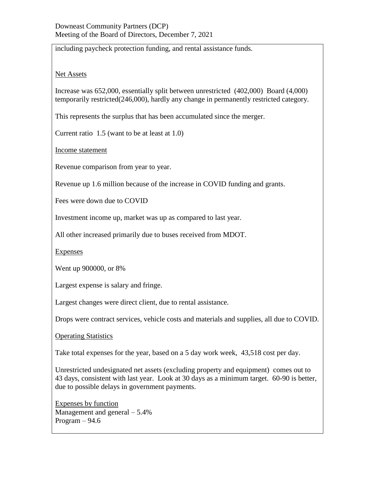including paycheck protection funding, and rental assistance funds.

## Net Assets

Increase was 652,000, essentially split between unrestricted (402,000) Board (4,000) temporarily restricted(246,000), hardly any change in permanently restricted category.

This represents the surplus that has been accumulated since the merger.

Current ratio 1.5 (want to be at least at 1.0)

Income statement

Revenue comparison from year to year.

Revenue up 1.6 million because of the increase in COVID funding and grants.

Fees were down due to COVID

Investment income up, market was up as compared to last year.

All other increased primarily due to buses received from MDOT.

**Expenses** 

Went up 900000, or 8%

Largest expense is salary and fringe.

Largest changes were direct client, due to rental assistance.

Drops were contract services, vehicle costs and materials and supplies, all due to COVID.

Operating Statistics

Take total expenses for the year, based on a 5 day work week, 43,518 cost per day.

Unrestricted undesignated net assets (excluding property and equipment) comes out to 43 days, consistent with last year. Look at 30 days as a minimum target. 60-90 is better, due to possible delays in government payments.

Expenses by function Management and general – 5.4% Program  $-94.6$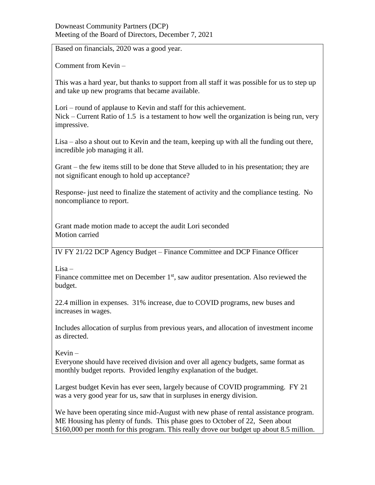## Downeast Community Partners (DCP) Meeting of the Board of Directors, December 7, 2021

Based on financials, 2020 was a good year.

Comment from Kevin –

This was a hard year, but thanks to support from all staff it was possible for us to step up and take up new programs that became available.

Lori – round of applause to Kevin and staff for this achievement. Nick – Current Ratio of 1.5 is a testament to how well the organization is being run, very impressive.

Lisa – also a shout out to Kevin and the team, keeping up with all the funding out there, incredible job managing it all.

Grant – the few items still to be done that Steve alluded to in his presentation; they are not significant enough to hold up acceptance?

Response- just need to finalize the statement of activity and the compliance testing. No noncompliance to report.

Grant made motion made to accept the audit Lori seconded Motion carried

IV FY 21/22 DCP Agency Budget – Finance Committee and DCP Finance Officer

Lisa –

Finance committee met on December  $1<sup>st</sup>$ , saw auditor presentation. Also reviewed the budget.

22.4 million in expenses. 31% increase, due to COVID programs, new buses and increases in wages.

Includes allocation of surplus from previous years, and allocation of investment income as directed.

Kevin –

Everyone should have received division and over all agency budgets, same format as monthly budget reports. Provided lengthy explanation of the budget.

Largest budget Kevin has ever seen, largely because of COVID programming. FY 21 was a very good year for us, saw that in surpluses in energy division.

We have been operating since mid-August with new phase of rental assistance program. ME Housing has plenty of funds. This phase goes to October of 22, Seen about \$160,000 per month for this program. This really drove our budget up about 8.5 million.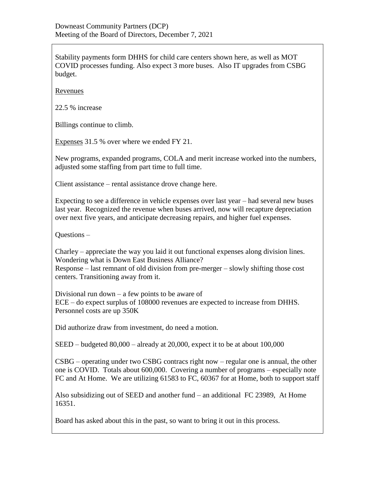Stability payments form DHHS for child care centers shown here, as well as MOT COVID processes funding. Also expect 3 more buses. Also IT upgrades from CSBG budget.

Revenues

22.5 % increase

Billings continue to climb.

Expenses 31.5 % over where we ended FY 21.

New programs, expanded programs, COLA and merit increase worked into the numbers, adjusted some staffing from part time to full time.

Client assistance – rental assistance drove change here.

Expecting to see a difference in vehicle expenses over last year – had several new buses last year. Recognized the revenue when buses arrived, now will recapture depreciation over next five years, and anticipate decreasing repairs, and higher fuel expenses.

Questions –

Charley – appreciate the way you laid it out functional expenses along division lines. Wondering what is Down East Business Alliance?

Response – last remnant of old division from pre-merger – slowly shifting those cost centers. Transitioning away from it.

Divisional run down  $-$  a few points to be aware of ECE – do expect surplus of 108000 revenues are expected to increase from DHHS. Personnel costs are up 350K

Did authorize draw from investment, do need a motion.

SEED – budgeted 80,000 – already at 20,000, expect it to be at about 100,000

CSBG – operating under two CSBG contracs right now – regular one is annual, the other one is COVID. Totals about 600,000. Covering a number of programs – especially note FC and At Home. We are utilizing 61583 to FC, 60367 for at Home, both to support staff

Also subsidizing out of SEED and another fund – an additional FC 23989, At Home 16351.

Board has asked about this in the past, so want to bring it out in this process.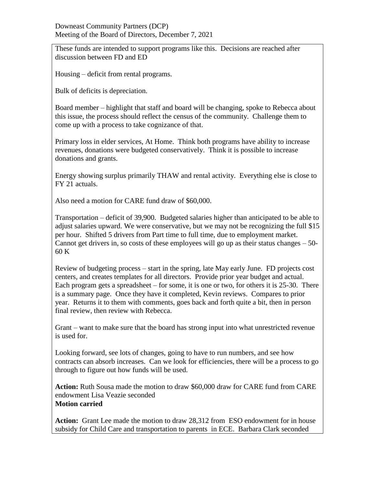These funds are intended to support programs like this. Decisions are reached after discussion between FD and ED

Housing – deficit from rental programs.

Bulk of deficits is depreciation.

Board member – highlight that staff and board will be changing, spoke to Rebecca about this issue, the process should reflect the census of the community. Challenge them to come up with a process to take cognizance of that.

Primary loss in elder services, At Home. Think both programs have ability to increase revenues, donations were budgeted conservatively. Think it is possible to increase donations and grants.

Energy showing surplus primarily THAW and rental activity. Everything else is close to FY 21 actuals.

Also need a motion for CARE fund draw of \$60,000.

Transportation – deficit of 39,900. Budgeted salaries higher than anticipated to be able to adjust salaries upward. We were conservative, but we may not be recognizing the full \$15 per hour. Shifted 5 drivers from Part time to full time, due to employment market. Cannot get drivers in, so costs of these employees will go up as their status changes – 50- 60 K

Review of budgeting process – start in the spring, late May early June. FD projects cost centers, and creates templates for all directors. Provide prior year budget and actual. Each program gets a spreadsheet – for some, it is one or two, for others it is 25-30. There is a summary page. Once they have it completed, Kevin reviews. Compares to prior year. Returns it to them with comments, goes back and forth quite a bit, then in person final review, then review with Rebecca.

Grant – want to make sure that the board has strong input into what unrestricted revenue is used for.

Looking forward, see lots of changes, going to have to run numbers, and see how contracts can absorb increases. Can we look for efficiencies, there will be a process to go through to figure out how funds will be used.

**Action:** Ruth Sousa made the motion to draw \$60,000 draw for CARE fund from CARE endowment Lisa Veazie seconded **Motion carried** 

**Action:** Grant Lee made the motion to draw 28,312 from ESO endowment for in house subsidy for Child Care and transportation to parents in ECE. Barbara Clark seconded